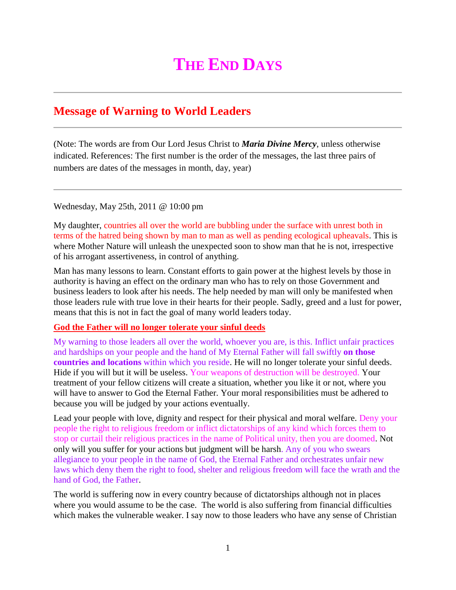## **THE END DAYS**

## **Message of Warning to World Leaders**

(Note: The words are from Our Lord Jesus Christ to *Maria Divine Mercy*, unless otherwise indicated. References: The first number is the order of the messages, the last three pairs of numbers are dates of the messages in month, day, year)

Wednesday, May 25th, 2011 @ 10:00 pm

My daughter, countries all over the world are bubbling under the surface with unrest both in terms of the hatred being shown by man to man as well as pending ecological upheavals. This is where Mother Nature will unleash the unexpected soon to show man that he is not, irrespective of his arrogant assertiveness, in control of anything.

Man has many lessons to learn. Constant efforts to gain power at the highest levels by those in authority is having an effect on the ordinary man who has to rely on those Government and business leaders to look after his needs. The help needed by man will only be manifested when those leaders rule with true love in their hearts for their people. Sadly, greed and a lust for power, means that this is not in fact the goal of many world leaders today.

## **God the Father will no longer tolerate your sinful deeds**

My warning to those leaders all over the world, whoever you are, is this. Inflict unfair practices and hardships on your people and the hand of My Eternal Father will fall swiftly **on those countries and locations** within which you reside. He will no longer tolerate your sinful deeds. Hide if you will but it will be useless. Your weapons of destruction will be destroyed. Your treatment of your fellow citizens will create a situation, whether you like it or not, where you will have to answer to God the Eternal Father. Your moral responsibilities must be adhered to because you will be judged by your actions eventually.

Lead your people with love, dignity and respect for their physical and moral welfare. Deny your people the right to religious freedom or inflict dictatorships of any kind which forces them to stop or curtail their religious practices in the name of Political unity, then you are doomed. Not only will you suffer for your actions but judgment will be harsh. Any of you who swears allegiance to your people in the name of God, the Eternal Father and orchestrates unfair new laws which deny them the right to food, shelter and religious freedom will face the wrath and the hand of God, the Father.

The world is suffering now in every country because of dictatorships although not in places where you would assume to be the case. The world is also suffering from financial difficulties which makes the vulnerable weaker. I say now to those leaders who have any sense of Christian